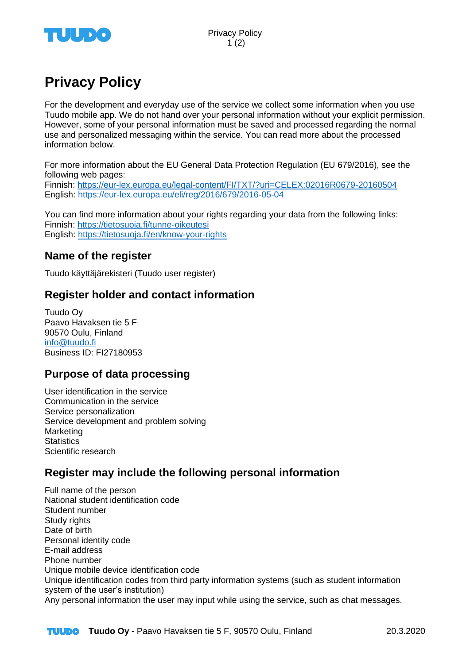

# **Privacy Policy**

For the development and everyday use of the service we collect some information when you use Tuudo mobile app. We do not hand over your personal information without your explicit permission. However, some of your personal information must be saved and processed regarding the normal use and personalized messaging within the service. You can read more about the processed information below.

For more information about the EU General Data Protection Regulation (EU 679/2016), see the following web pages: Finnish:<https://eur-lex.europa.eu/legal-content/FI/TXT/?uri=CELEX:02016R0679-20160504> English:<https://eur-lex.europa.eu/eli/reg/2016/679/2016-05-04>

You can find more information about your rights regarding your data from the following links: Finnish:<https://tietosuoja.fi/tunne-oikeutesi> English:<https://tietosuoja.fi/en/know-your-rights>

# **Name of the register**

Tuudo käyttäjärekisteri (Tuudo user register)

# **Register holder and contact information**

Tuudo Oy Paavo Havaksen tie 5 F 90570 Oulu, Finland [info@tuudo.fi](mailto:info@tuudo.fi) Business ID: FI27180953

# **Purpose of data processing**

User identification in the service Communication in the service Service personalization Service development and problem solving Marketing **Statistics** Scientific research

# **Register may include the following personal information**

Full name of the person National student identification code Student number Study rights Date of birth Personal identity code E-mail address Phone number Unique mobile device identification code Unique identification codes from third party information systems (such as student information system of the user's institution) Any personal information the user may input while using the service, such as chat messages.